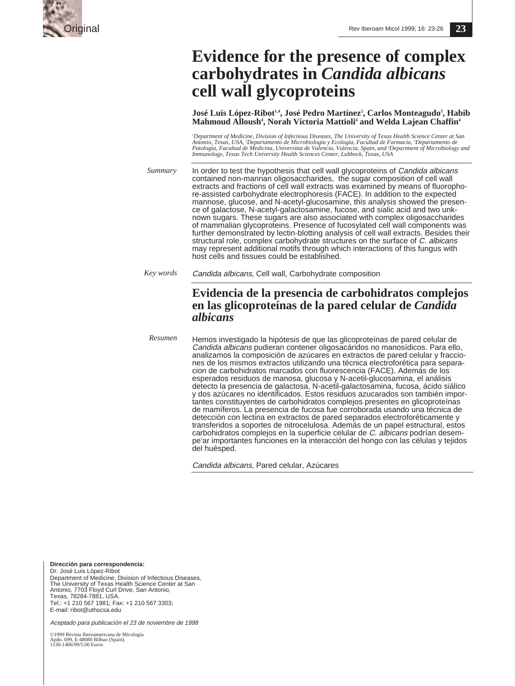

# **Evidence for the presence of complex carbohydrates in** *Candida albicans* **cell wall glycoproteins**

**José Luis López-Ribot1,4, José Pedro Martínez2 , Carlos Monteagudo3 , Habib Mahmoud Alloush4 , Norah Victoria Mattioli4 and Welda Lajean Chaffin4**

'Department of Medicine, Division of Infectious Diseases, The University of Texas Health Science Center at San<br>Antonio, Texas, USA, 'Departamento de Microbiología y Ecología, Facultad de Farmacia, 'Departamento de<br>Patologí *Immunology, Texas Tech University Health Sciences Center, Lubbock, Texas, USA*

*Summary* In order to test the hypothesis that cell wall glycoproteins of Candida albicans contained non-mannan oligosaccharides, the sugar composition of cell wall extracts and fractions of cell wall extracts was examined by means of fluorophore-assisted carbohydrate electrophoresis (FACE). In addition to the expected mannose, glucose, and N-acetyl-glucosamine, this analysis showed the presence of galactose, N-acetyl-galactosamine, fucose, and sialic acid and two unknown sugars. These sugars are also associated with complex oligosaccharides of mammalian glycoproteins. Presence of fucosylated cell wall components was further demonstrated by lectin-blotting analysis of cell wall extracts. Besides their structural role, complex carbohydrate structures on the surface of C. albicans may represent additional motifs through which interactions of this fungus with host cells and tissues could be established.

*Key words* Candida albicans, Cell wall, Carbohydrate composition

## **Evidencia de la presencia de carbohidratos complejos en las glicoproteínas de la pared celular de** *Candida albicans*

Hemos investigado la hipótesis de que las glicoproteínas de pared celular de Candida albicans pudieran contener oligosacáridos no manosídicos. Para ello, analizamos la composición de azúcares en extractos de pared celular y fracciones de los mismos extractos utilizando una técnica electroforética para separacion de carbohidratos marcados con fluorescencia (FACE). Además de los esperados residuos de manosa, glucosa y N-acetil-glucosamina, el análisis detecto la presencia de galactosa, N-acetil-galactosamina, fucosa, ácido siálico y dos azúcares no identificados. Estos residuos azucarados son también importantes constituyentes de carbohidratos complejos presentes en glicoproteínas de mamíferos. La presencia de fucosa fue corroborada usando una técnica de detección con lectina en extractos de pared separados electroforéticamente y transferidos a soportes de nitrocelulosa. Además de un papel estructural, estos carbohidratos complejos en la superficie celular de C. albicans podrían desempe'ar importantes funciones en la interacción del hongo con las células y tejidos del huésped. *Resumen*

Candida albicans, Pared celular, Azúcares

**Dirección para correspondencia:** Dr. José Luis López-Ribot Department of Medicine, Division of Infectious Diseases, The University of Texas Health Science Center at San Antonio, 7703 Floyd Curl Drive, San Antonio, Texas, 78284-7881, USA. Tel.: +1 210 567 1981; Fax: +1 210 567 3303; E-mail: ribot@uthscsa.edu

Aceptado para publicación el 23 de noviembre de 1998

©1999 Revista Iberoamericana de Micología Apdo. 699, E-48080 Bilbao (Spain). Apuo. 099, E-40000 Euros<br>1130-1406/99/5.00 Euros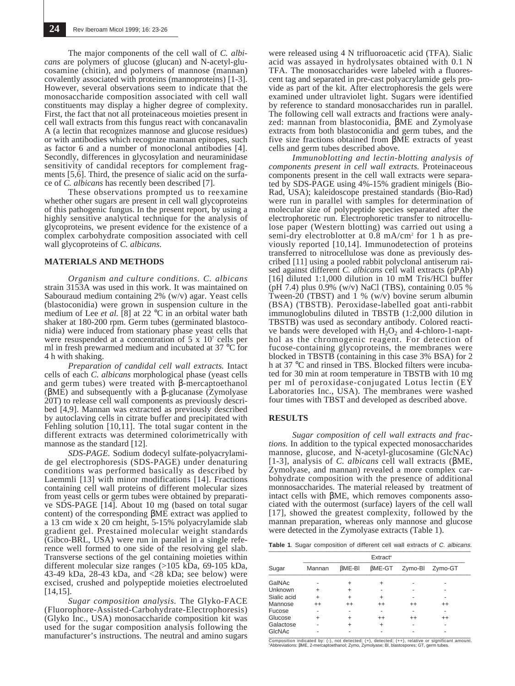The major components of the cell wall of *C. albicans* are polymers of glucose (glucan) and N-acetyl-glucosamine (chitin), and polymers of mannose (mannan) covalently associated with proteins (mannoproteins) [1-3]. However, several observations seem to indicate that the monosaccharide composition associated with cell wall constituents may display a higher degree of complexity. First, the fact that not all proteinaceous moieties present in cell wall extracts from this fungus react with concanavalin A (a lectin that recognizes mannose and glucose residues) or with antibodies which recognize mannan epitopes, such as factor 6 and a number of monoclonal antibodies [4]. Secondly, differences in glycosylation and neuraminidase sensitivity of candidal receptors for complement fragments [5,6]. Third, the presence of sialic acid on the surface of *C. albicans* has recently been described [7].

These observations prompted us to reexamine whether other sugars are present in cell wall glycoproteins of this pathogenic fungus. In the present report, by using a highly sensitive analytical technique for the analysis of glycoproteins, we present evidence for the existence of a complex carbohydrate composition associated with cell wall glycoproteins of *C. albicans*.

#### **MATERIALS AND METHODS**

*Organism and culture conditions. C. albicans* strain 3153A was used in this work. It was maintained on Sabouraud medium containing 2% (w/v) agar. Yeast cells (blastoconidia) were grown in suspension culture in the medium of Lee *et al.* [8] at 22 °C in an orbital water bath shaker at 180-200 rpm. Germ tubes (germinated blastoconidia) were induced from stationary phase yeast cells that were resuspended at a concentration of 5 x 107 cells per ml in fresh prewarmed medium and incubated at 37 °C for 4 h with shaking.

*Preparation of candidal cell wall extracts.* Intact cells of each *C. albicans* morphological phase (yeast cells and germ tubes) were treated with β-mercaptoethanol (βME) and subsequently with a β-glucanase (Zymolyase 20T) to release cell wall components as previously described [4,9]. Mannan was extracted as previously described by autoclaving cells in citrate buffer and precipitated with Fehling solution [10,11]. The total sugar content in the different extracts was determined colorimetrically with mannose as the standard [12].

*SDS-PAGE.* Sodium dodecyl sulfate-polyacrylamide gel electrophoresis (SDS-PAGE) under denaturing conditions was performed basically as described by Laemmli [13] with minor modifications [14]. Fractions containing cell wall proteins of different molecular sizes from yeast cells or germ tubes were obtained by preparative SDS-PAGE [14]. About 10 mg (based on total sugar content) of the corresponding βME extract was applied to a 13 cm wide x 20 cm height, 5-15% polyacrylamide slab gradient gel. Prestained molecular weight standards (Gibco-BRL, USA) were run in parallel in a single reference well formed to one side of the resolving gel slab. Transverse sections of the gel containing moieties within different molecular size ranges (>105 kDa, 69-105 kDa, 43-49 kDa, 28-43 kDa, and <28 kDa; see below) were excised, crushed and polypeptide moieties electroeluted [14,15].

*Sugar composition analysis.* The Glyko-FACE (Fluorophore-Assisted-Carbohydrate-Electrophoresis) (Glyko Inc., USA) monosaccharide composition kit was used for the sugar composition analysis following the manufacturer's instructions. The neutral and amino sugars

were released using 4 N trifluoroacetic acid (TFA). Sialic acid was assayed in hydrolysates obtained with 0.1 N TFA. The monosaccharides were labeled with a fluorescent tag and separated in pre-cast polyacrylamide gels provide as part of the kit. After electrophoresis the gels were examined under ultraviolet light. Sugars were identified by reference to standard monosaccharides run in parallel. The following cell wall extracts and fractions were analyzed: mannan from blastoconidia, βME and Zymolyase extracts from both blastoconidia and germ tubes, and the five size fractions obtained from βME extracts of yeast cells and germ tubes described above.

*Immunoblotting and lectin-blotting analysis of components present in cell wall extracts.* Proteinaceous components present in the cell wall extracts were separated by SDS-PAGE using 4%-15% gradient minigels (Bio-Rad, USA); kaleidoscope prestained standards (Bio-Rad) were run in parallel with samples for determination of molecular size of polypeptide species separated after the electrophoretic run. Electrophoretic transfer to nitrocellulose paper (Western blotting) was carried out using a semi-dry electroblotter at 0.8 mA/cm2 for 1 h as previously reported [10,14]. Immunodetection of proteins transferred to nitrocellulose was done as previously described [11] using a pooled rabbit polyclonal antiserum raised against different *C. albicans* cell wall extracts (pPAb) [16] diluted 1:1,000 dilution in 10 mM Tris/HCl buffer (pH 7.4) plus  $0.9\%$  (w/v) NaCl (TBS), containing  $0.05\%$ Tween-20 (TBST) and 1 % (w/v) bovine serum albumin (BSA) (TBSTB). Peroxidase-labelled goat anti-rabbit immunoglobulins diluted in TBSTB (1:2,000 dilution in TBSTB) was used as secondary antibody. Colored reactive bands were developed with  $H_2O_2$  and 4-chloro-1-napthol as the chromogenic reagent. For detection of fucose-containing glycoproteins, the membranes were blocked in TBSTB (containing in this case 3% BSA) for 2 h at 37 °C and rinsed in TBS. Blocked filters were incubated for 30 min at room temperature in TBSTB with 10 mg per ml of peroxidase-conjugated Lotus lectin  $(E\bar{Y})$ Laboratories Inc., USA). The membranes were washed four times with TBST and developed as described above.

### **RESULTS**

*Sugar composition of cell wall extracts and fractions.* In addition to the typical expected monosaccharides mannose, glucose, and N-acetyl-glucosamine (GlcNAc) [1-3], analysis of *C. albicans* cell wall extracts (βME, Zymolyase, and mannan) revealed a more complex carbohydrate composition with the presence of additional monnosaccharides. The material released by treatment of intact cells with βME, which removes components associated with the outermost (surface) layers of the cell wall [17], showed the greatest complexity, followed by the mannan preparation, whereas only mannose and glucose were detected in the Zymolyase extracts (Table 1).

Table 1. Sugar composition of different cell wall extracts of C. albicans.

|             | <b>Extract<sup>a</sup></b> |               |               |         |         |  |  |  |  |
|-------------|----------------------------|---------------|---------------|---------|---------|--|--|--|--|
| Sugar       | Mannan                     | $\beta$ ME-BI | $\beta$ ME-GT | Zymo-BI | Zymo-GT |  |  |  |  |
| GalNAc      |                            | +             |               |         |         |  |  |  |  |
| Unknown     | ÷                          | ÷             |               |         |         |  |  |  |  |
| Sialic acid | ÷                          | +             |               |         |         |  |  |  |  |
| Mannose     | $^{++}$                    | $^{++}$       | $^{++}$       | $^{++}$ | $^{++}$ |  |  |  |  |
| Fucose      | ۰                          |               |               |         |         |  |  |  |  |
| Glucose     | $\ddot{}$                  | +             | $^{++}$       | $^{++}$ | $^{++}$ |  |  |  |  |
| Galactose   |                            | +             | ÷             |         |         |  |  |  |  |
| GIcNAc      |                            |               |               |         |         |  |  |  |  |

Composition indicated by: (-), not detected; (+), detected; (++), relative or significant amount. a Abbreviations: βME, 2-mercaptoethanol; Zymo, Zymolyase; Bl, blastospores; GT, germ tubes.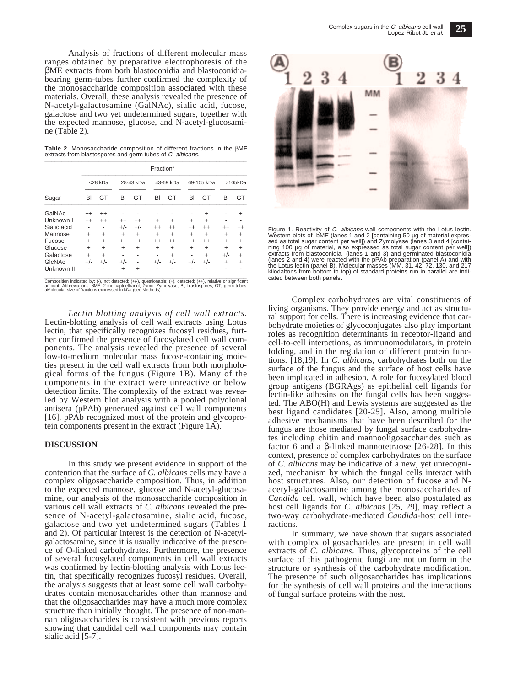Analysis of fractions of different molecular mass ranges obtained by preparative electrophoresis of the βME extracts from both blastoconidia and blastoconidiabearing germ-tubes further confirmed the complexity of the monosaccharide composition associated with these materials. Overall, these analysis revealed the presence of N-acetyl-galactosamine (GalNAc), sialic acid, fucose, galactose and two yet undetermined sugars, together with the expected mannose, glucose, and N-acetyl-glucosamine (Table 2).

**Table 2**. Monosaccharide composition of different fractions in the βME extracts from blastospores and germ tubes of C. albicans.

|             | Fraction <sup>a</sup> |           |           |           |           |           |            |           |           |           |
|-------------|-----------------------|-----------|-----------|-----------|-----------|-----------|------------|-----------|-----------|-----------|
| Sugar       | <28 kDa               |           | 28-43 kDa |           | 43-69 kDa |           | 69-105 kDa |           | >105kDa   |           |
|             | BI                    | GT        | BI        | GT        | BI        | GT        | BI         | GT        | BI        | GT        |
| GalNAc      | $^{++}$               | $^{++}$   |           |           |           |           |            | ÷         |           | +         |
| Unknown I   | $^{++}$               | $^{++}$   | $^{++}$   | $^{++}$   | +         | ÷         | $\ddot{}$  | $\ddot{}$ |           |           |
| Sialic acid |                       | ٠         | $+/-$     | $+/-$     | $^{++}$   | $^{++}$   | $^{++}$    | $^{++}$   | $^{++}$   | $^{++}$   |
| Mannose     | $\ddot{}$             | $\ddot{}$ | $\ddot{}$ | $\ddot{}$ | $\ddot{}$ | $\ddot{}$ | $\ddot{}$  | $\ddot{}$ | $\ddot{}$ | $\ddot{}$ |
| Fucose      | $\ddot{}$             | $\ddot{}$ | $^{++}$   | $^{++}$   | $^{++}$   | $^{++}$   | $^{++}$    | $^{++}$   | $\ddot{}$ | $\ddot{}$ |
| Glucose     | $\ddot{}$             | $\ddot{}$ | $\ddot{}$ | $\ddot{}$ | $\ddot{}$ | $\ddot{}$ | $\ddot{}$  | $\ddot{}$ | ÷.        | $\ddot{}$ |
| Galactose   | $\ddot{}$             | $\ddot{}$ | ٠         |           |           | $\ddot{}$ | -          | $\ddot{}$ | $+/-$     | $\ddot{}$ |
| GIcNAc      | $+/-$                 | $+/-$     | $+/-$     |           | $+/-$     | $+/-$     | $+/-$      | $+/-$     | $\div$    | ÷         |
| Unknown II  |                       |           | +         | $\ddot{}$ |           |           |            |           |           |           |

Composition indicated by: (-), not detected; (+/-), questionable; (+), detected; (++), relative or significant<br>amount. Abbreviations: BME, 2-mercaptoethanol; Zymo, Zymotyase; BI, blastospores; GT, germ tubes.<br>aMolecular si

*Lectin blotting analysis of cell wall extracts.* Lectin-blotting analysis of cell wall extracts using Lotus lectin, that specifically recognizes fucosyl residues, further confirmed the presence of fucosylated cell wall components. The analysis revealed the presence of several low-to-medium molecular mass fucose-containing moieties present in the cell wall extracts from both morphological forms of the fungus (Figure 1B). Many of the components in the extract were unreactive or below detection limits. The complexity of the extract was revealed by Western blot analysis with a pooled polyclonal antisera (pPAb) generated against cell wall components [16]. pPAb recognized most of the protein and glycoprotein components present in the extract (Figure 1A).

### **DISCUSSION**

In this study we present evidence in support of the contention that the surface of *C. albicans* cells may have a complex oligosaccharide composition. Thus, in addition to the expected mannose, glucose and N-acetyl-glucosamine, our analysis of the monosaccharide composition in various cell wall extracts of *C. albicans* revealed the presence of N-acetyl-galactosamine, sialic acid, fucose, galactose and two yet undetermined sugars (Tables 1 and 2). Of particular interest is the detection of N-acetylgalactosamine, since it is usually indicative of the presence of O-linked carbohydrates. Furthermore, the presence of several fucosylated components in cell wall extracts was confirmed by lectin-blotting analysis with Lotus lectin, that specifically recognizes fucosyl residues. Overall, the analysis suggests that at least some cell wall carbohydrates contain monosaccharides other than mannose and that the oligosaccharides may have a much more complex structure than initially thought. The presence of non-mannan oligosaccharides is consistent with previous reports showing that candidal cell wall components may contain sialic acid [5-7].



Figure 1. Reactivity of C. albicans wall components with the Lotus lectin. Western blots of bME (lanes 1 and 2 [containing 50 µg of material expres-<br>sed as total sugar content per well]) and Zymolyase (lanes 3 and 4 [contai-<br>ning 100 µg of material, also expressed as total sugar content per well extracts from blastoconidia (lanes 1 and 3) and germinated blastoconidia<br>(lanes 2 and 4) were reacted with the pPAb preparation (panel A) and with<br>the Lotus lectin (panel B). Molecular masses (MM, 31, 42, 72, 130, and 217 kilodaltons from bottom to top) of standard proteins run in parallel are indicated between both panels.

Complex carbohydrates are vital constituents of living organisms. They provide energy and act as structural support for cells. There is increasing evidence that carbohydrate moieties of glycoconjugates also play important roles as recognition determinants in receptor-ligand and cell-to-cell interactions, as immunomodulators, in protein folding, and in the regulation of different protein functions. [18,19]. In *C. albicans*, carbohydrates both on the surface of the fungus and the surface of host cells have been implicated in adhesion. A role for fucosylated blood group antigens (BGRAgs) as epithelial cell ligands for lectin-like adhesins on the fungal cells has been suggested. The ABO(H) and Lewis systems are suggested as the best ligand candidates [20-25]. Also, among multiple adhesive mechanisms that have been described for the fungus are those mediated by fungal surface carbohydrates including chitin and mannooligosaccharides such as factor 6 and a β-linked mannotetraose [26-28]. In this context, presence of complex carbohydrates on the surface of *C. albicans* may be indicative of a new, yet unrecognized, mechanism by which the fungal cells interact with host structures. Also, our detection of fucose and Nacetyl-galactosamine among the monosaccharides of *Candida* cell wall, which have been also postulated as host cell ligands for *C. albicans* [25, 29], may reflect a two-way carbohydrate-mediated *Candida*-host cell interactions.

In summary, we have shown that sugars associated with complex oligosacharides are present in cell wall extracts of *C. albicans*. Thus, glycoproteins of the cell surface of this pathogenic fungi are not uniform in the structure or synthesis of the carbohydrate modification. The presence of such oligosaccharides has implications for the synthesis of cell wall proteins and the interactions of fungal surface proteins with the host.